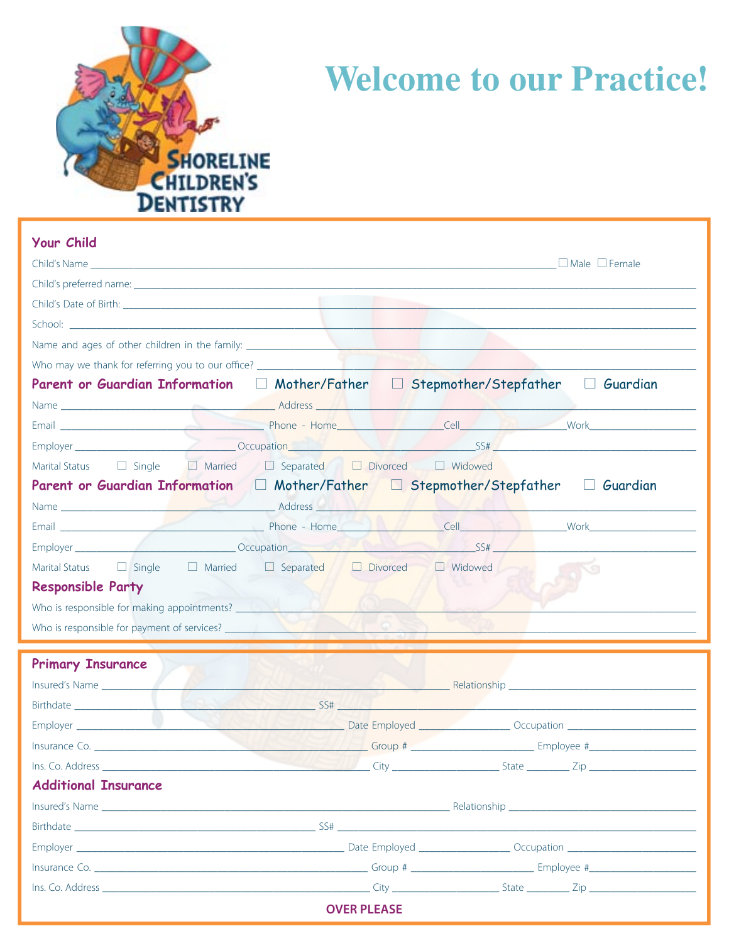

## **Welcome to our Practice!**

| <b>Your Child</b>                                                                                                                                                                                                              |  |  |  |                    |                                                                      |                                                                                   |  |  |  |  |                                                                                  |  |                                                                                  |                 |
|--------------------------------------------------------------------------------------------------------------------------------------------------------------------------------------------------------------------------------|--|--|--|--------------------|----------------------------------------------------------------------|-----------------------------------------------------------------------------------|--|--|--|--|----------------------------------------------------------------------------------|--|----------------------------------------------------------------------------------|-----------------|
|                                                                                                                                                                                                                                |  |  |  |                    |                                                                      |                                                                                   |  |  |  |  |                                                                                  |  |                                                                                  |                 |
| Child's preferred name: experience and the state of the state of the state of the state of the state of the state of the state of the state of the state of the state of the state of the state of the state of the state of t |  |  |  |                    |                                                                      |                                                                                   |  |  |  |  |                                                                                  |  |                                                                                  |                 |
|                                                                                                                                                                                                                                |  |  |  |                    |                                                                      |                                                                                   |  |  |  |  | Who may we thank for referring you to our office? ______________________________ |  |                                                                                  |                 |
|                                                                                                                                                                                                                                |  |  |  |                    |                                                                      |                                                                                   |  |  |  |  |                                                                                  |  | Parent or Guardian Information $\Box$ Mother/Father $\Box$ Stepmother/Stepfather | $\Box$ Guardian |
|                                                                                                                                                                                                                                |  |  |  |                    |                                                                      |                                                                                   |  |  |  |  |                                                                                  |  |                                                                                  |                 |
|                                                                                                                                                                                                                                |  |  |  |                    |                                                                      |                                                                                   |  |  |  |  |                                                                                  |  |                                                                                  |                 |
|                                                                                                                                                                                                                                |  |  |  |                    |                                                                      |                                                                                   |  |  |  |  |                                                                                  |  |                                                                                  |                 |
|                                                                                                                                                                                                                                |  |  |  |                    |                                                                      |                                                                                   |  |  |  |  |                                                                                  |  |                                                                                  |                 |
|                                                                                                                                                                                                                                |  |  |  |                    |                                                                      | Parent or Guardian Information □ Mother/Father □ Stepmother/Stepfather □ Guardian |  |  |  |  |                                                                                  |  |                                                                                  |                 |
|                                                                                                                                                                                                                                |  |  |  |                    |                                                                      |                                                                                   |  |  |  |  |                                                                                  |  |                                                                                  |                 |
|                                                                                                                                                                                                                                |  |  |  |                    |                                                                      |                                                                                   |  |  |  |  |                                                                                  |  |                                                                                  |                 |
|                                                                                                                                                                                                                                |  |  |  |                    | Employer SS#                                                         |                                                                                   |  |  |  |  |                                                                                  |  |                                                                                  |                 |
|                                                                                                                                                                                                                                |  |  |  |                    | Marital Status  □ Single  □ Married □ Separated □ Divorced □ Widowed |                                                                                   |  |  |  |  |                                                                                  |  |                                                                                  |                 |
| <b>Responsible Party</b>                                                                                                                                                                                                       |  |  |  |                    |                                                                      |                                                                                   |  |  |  |  |                                                                                  |  |                                                                                  |                 |
|                                                                                                                                                                                                                                |  |  |  |                    |                                                                      |                                                                                   |  |  |  |  |                                                                                  |  |                                                                                  |                 |
|                                                                                                                                                                                                                                |  |  |  |                    |                                                                      |                                                                                   |  |  |  |  |                                                                                  |  |                                                                                  |                 |
|                                                                                                                                                                                                                                |  |  |  |                    |                                                                      |                                                                                   |  |  |  |  |                                                                                  |  |                                                                                  |                 |
| <b>Primary Insurance</b>                                                                                                                                                                                                       |  |  |  |                    |                                                                      |                                                                                   |  |  |  |  |                                                                                  |  |                                                                                  |                 |
|                                                                                                                                                                                                                                |  |  |  |                    |                                                                      |                                                                                   |  |  |  |  |                                                                                  |  |                                                                                  |                 |
|                                                                                                                                                                                                                                |  |  |  |                    |                                                                      |                                                                                   |  |  |  |  |                                                                                  |  |                                                                                  |                 |
|                                                                                                                                                                                                                                |  |  |  |                    |                                                                      |                                                                                   |  |  |  |  |                                                                                  |  |                                                                                  |                 |
|                                                                                                                                                                                                                                |  |  |  |                    |                                                                      |                                                                                   |  |  |  |  |                                                                                  |  |                                                                                  |                 |
|                                                                                                                                                                                                                                |  |  |  |                    |                                                                      |                                                                                   |  |  |  |  |                                                                                  |  |                                                                                  |                 |
| <b>Additional Insurance</b>                                                                                                                                                                                                    |  |  |  |                    |                                                                      |                                                                                   |  |  |  |  |                                                                                  |  |                                                                                  |                 |
|                                                                                                                                                                                                                                |  |  |  |                    |                                                                      |                                                                                   |  |  |  |  |                                                                                  |  |                                                                                  |                 |
|                                                                                                                                                                                                                                |  |  |  |                    |                                                                      | Birthdate SS#                                                                     |  |  |  |  |                                                                                  |  |                                                                                  |                 |
|                                                                                                                                                                                                                                |  |  |  |                    |                                                                      |                                                                                   |  |  |  |  |                                                                                  |  |                                                                                  |                 |
|                                                                                                                                                                                                                                |  |  |  |                    |                                                                      |                                                                                   |  |  |  |  |                                                                                  |  |                                                                                  |                 |
|                                                                                                                                                                                                                                |  |  |  |                    |                                                                      |                                                                                   |  |  |  |  |                                                                                  |  |                                                                                  |                 |
|                                                                                                                                                                                                                                |  |  |  | <b>OVER PLEASE</b> |                                                                      |                                                                                   |  |  |  |  |                                                                                  |  |                                                                                  |                 |